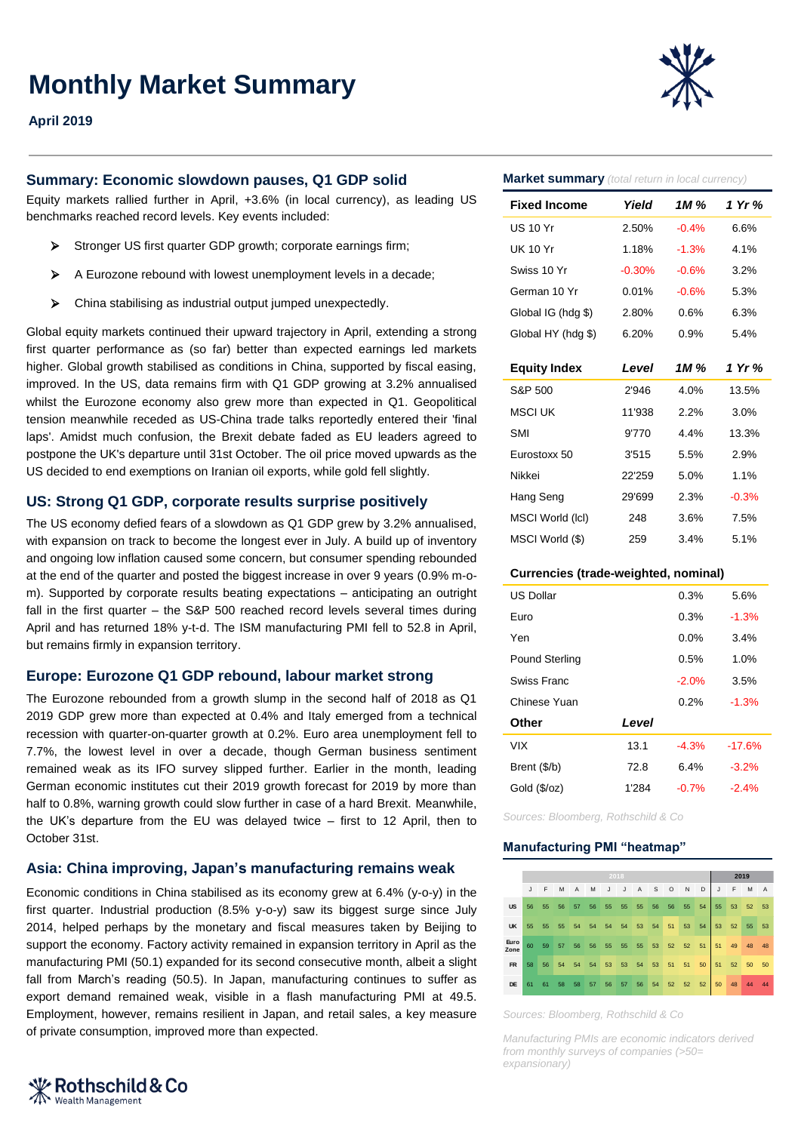# **Monthly Market Summary**



## **April 2019**

## **Summary: Economic slowdown pauses, Q1 GDP solid**

Equity markets rallied further in April, +3.6% (in local currency), as leading US benchmarks reached record levels. Key events included:

- Stronger US first quarter GDP growth: corporate earnings firm:
- $\triangleright$  A Eurozone rebound with lowest unemployment levels in a decade;
- $\triangleright$  China stabilising as industrial output jumped unexpectedly.

Global equity markets continued their upward trajectory in April, extending a strong first quarter performance as (so far) better than expected earnings led markets higher. Global growth stabilised as conditions in China, supported by fiscal easing, improved. In the US, data remains firm with Q1 GDP growing at 3.2% annualised whilst the Eurozone economy also grew more than expected in Q1. Geopolitical tension meanwhile receded as US-China trade talks reportedly entered their 'final laps'. Amidst much confusion, the Brexit debate faded as EU leaders agreed to postpone the UK's departure until 31st October. The oil price moved upwards as the US decided to end exemptions on Iranian oil exports, while gold fell slightly.

## **US: Strong Q1 GDP, corporate results surprise positively**

The US economy defied fears of a slowdown as Q1 GDP grew by 3.2% annualised, with expansion on track to become the longest ever in July. A build up of inventory and ongoing low inflation caused some concern, but consumer spending rebounded at the end of the quarter and posted the biggest increase in over 9 years (0.9% m-om). Supported by corporate results beating expectations – anticipating an outright fall in the first quarter – the S&P 500 reached record levels several times during April and has returned 18% y-t-d. The ISM manufacturing PMI fell to 52.8 in April, but remains firmly in expansion territory.

#### **Europe: Eurozone Q1 GDP rebound, labour market strong**

The Eurozone rebounded from a growth slump in the second half of 2018 as Q1 2019 GDP grew more than expected at 0.4% and Italy emerged from a technical recession with quarter-on-quarter growth at 0.2%. Euro area unemployment fell to 7.7%, the lowest level in over a decade, though German business sentiment remained weak as its IFO survey slipped further. Earlier in the month, leading German economic institutes cut their 2019 growth forecast for 2019 by more than half to 0.8%, warning growth could slow further in case of a hard Brexit. Meanwhile, the UK's departure from the EU was delayed twice – first to 12 April, then to October 31st.

## **Asia: China improving, Japan's manufacturing remains weak**

Economic conditions in China stabilised as its economy grew at 6.4% (y-o-y) in the first quarter. Industrial production (8.5% y-o-y) saw its biggest surge since July 2014, helped perhaps by the monetary and fiscal measures taken by Beijing to support the economy. Factory activity remained in expansion territory in April as the manufacturing PMI (50.1) expanded for its second consecutive month, albeit a slight fall from March's reading (50.5). In Japan, manufacturing continues to suffer as export demand remained weak, visible in a flash manufacturing PMI at 49.5. Employment, however, remains resilient in Japan, and retail sales, a key measure of private consumption, improved more than expected.

⊁ Rothschild & Co **Wealth Management** 

#### **Market summary** *(total return in local currency)*

| <b>Fixed Income</b> | Yield    | 1M %    | 1 Yr %  |  |  |
|---------------------|----------|---------|---------|--|--|
| US 10 Yr            | 2.50%    | $-0.4%$ | 6.6%    |  |  |
| UK 10 Yr            | 1.18%    | $-1.3%$ | 4.1%    |  |  |
| Swiss 10 Yr         | $-0.30%$ | $-0.6%$ | 3.2%    |  |  |
| German 10 Yr        | 0.01%    | $-0.6%$ | 5.3%    |  |  |
| Global IG (hdg \$)  | 2.80%    | 0.6%    | 6.3%    |  |  |
| Global HY (hdg \$)  | 6.20%    | 0.9%    | 5.4%    |  |  |
|                     |          |         |         |  |  |
| <b>Equity Index</b> | Level    | 1M %    | 1 Yr %  |  |  |
| S&P 500             | 2'946    | 4.0%    | 13.5%   |  |  |
| MSCI UK             | 11'938   | 2.2%    | 3.0%    |  |  |
| SMI                 | 9'770    | 4.4%    | 13.3%   |  |  |
| Eurostoxx 50        | 3'515    | 5.5%    | 2.9%    |  |  |
| Nikkei              | 22'259   | 5.0%    | 1.1%    |  |  |
| Hang Seng           | 29'699   | 2.3%    | $-0.3%$ |  |  |
| MSCI World (lcl)    | 248      | 3.6%    | 7.5%    |  |  |
| MSCI World (\$)     | 259      | 3.4%    | 5.1%    |  |  |
|                     |          |         |         |  |  |

#### **Currencies (trade-weighted, nominal)**

| <b>US Dollar</b> |       | 0.3%    | 5.6%     |
|------------------|-------|---------|----------|
| Furo             |       | 0.3%    | $-1.3%$  |
| Yen              |       | $0.0\%$ | 3.4%     |
| Pound Sterling   |       | 0.5%    | 1.0%     |
| Swiss Franc      |       | $-2.0%$ | 3.5%     |
| Chinese Yuan     |       | 0.2%    | $-1.3%$  |
| Other            | Level |         |          |
| <b>VIX</b>       | 13.1  | $-4.3%$ | $-17.6%$ |
| Brent (\$/b)     | 72.8  | 6.4%    | $-3.2%$  |
| Gold (\$/oz)     | 1'284 | $-0.7%$ | $-2.4%$  |
|                  |       |         |          |

*Sources: Bloomberg, Rothschild & Co* 

#### **Manufacturing PMI "heatmap"**

|              | 2018 |    |       |    |    |                |    |                         |    |         |          | 2019 |              |    |    |                |
|--------------|------|----|-------|----|----|----------------|----|-------------------------|----|---------|----------|------|--------------|----|----|----------------|
|              | J    | F  | M     | A  | M  |                |    | J J A S                 |    | $\circ$ | N        | D    | $\mathsf{J}$ | F  | M  | $\overline{A}$ |
| <b>US</b>    | 56   | 55 | 56    |    |    | 57 56 55 55 55 |    |                         | 56 | 56      | 55       | 54   | 55           | 53 | 52 | 53             |
| <b>UK</b>    | 55   | 55 |       |    |    |                |    | 55 54 54 54 54 53 54 51 |    |         | 53 54    |      | 53           | 52 | 55 | 53             |
| Euro<br>Zone | 60   | 59 | 57 56 |    |    |                |    | 56 55 55 55 53 52 52 51 |    |         |          |      | 51           | 49 |    | 48             |
| <b>FR</b>    | 58   | 56 | 54    | 54 |    |                |    | 54 53 53 54 53          |    |         | 51 51    | 50   | 51 52        |    | 50 | 50             |
| <b>DE</b>    | 61   | 61 | 58    | 58 | 57 | 56             | 57 | 56                      | 54 |         | 52 52 52 |      | 50           | 48 | 44 | 44             |

*Sources: Bloomberg, Rothschild & Co*

*Manufacturing PMIs are economic indicators derived from monthly surveys of companies (>50= expansionary)*